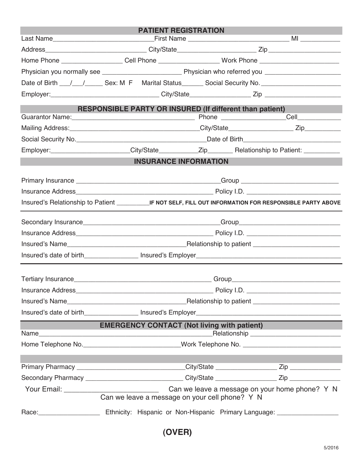| <b>PATIENT REGISTRATION</b>                                                                                                                                                                                                         |                                                                                                      |  |  |                                                          |                                                    |
|-------------------------------------------------------------------------------------------------------------------------------------------------------------------------------------------------------------------------------------|------------------------------------------------------------------------------------------------------|--|--|----------------------------------------------------------|----------------------------------------------------|
|                                                                                                                                                                                                                                     |                                                                                                      |  |  |                                                          |                                                    |
|                                                                                                                                                                                                                                     |                                                                                                      |  |  |                                                          |                                                    |
|                                                                                                                                                                                                                                     | Home Phone ____________________Cell Phone ______________________Work Phone _________________________ |  |  |                                                          |                                                    |
|                                                                                                                                                                                                                                     |                                                                                                      |  |  |                                                          |                                                    |
| Date of Birth ___/___/________ Sex: M F Marital Status________ Social Security No. __________________________                                                                                                                       |                                                                                                      |  |  |                                                          |                                                    |
|                                                                                                                                                                                                                                     |                                                                                                      |  |  |                                                          |                                                    |
|                                                                                                                                                                                                                                     |                                                                                                      |  |  | RESPONSIBLE PARTY OR INSURED (If different than patient) |                                                    |
|                                                                                                                                                                                                                                     |                                                                                                      |  |  |                                                          |                                                    |
|                                                                                                                                                                                                                                     |                                                                                                      |  |  |                                                          |                                                    |
|                                                                                                                                                                                                                                     |                                                                                                      |  |  |                                                          |                                                    |
| Employer:________________________City/State___________Zip__________Relationship to Patient: _____________                                                                                                                           |                                                                                                      |  |  |                                                          |                                                    |
| <b>INSURANCE INFORMATION</b>                                                                                                                                                                                                        |                                                                                                      |  |  |                                                          |                                                    |
|                                                                                                                                                                                                                                     |                                                                                                      |  |  |                                                          |                                                    |
|                                                                                                                                                                                                                                     |                                                                                                      |  |  |                                                          |                                                    |
|                                                                                                                                                                                                                                     |                                                                                                      |  |  |                                                          |                                                    |
|                                                                                                                                                                                                                                     |                                                                                                      |  |  |                                                          |                                                    |
|                                                                                                                                                                                                                                     |                                                                                                      |  |  |                                                          |                                                    |
|                                                                                                                                                                                                                                     |                                                                                                      |  |  |                                                          |                                                    |
|                                                                                                                                                                                                                                     |                                                                                                      |  |  |                                                          |                                                    |
|                                                                                                                                                                                                                                     |                                                                                                      |  |  |                                                          |                                                    |
|                                                                                                                                                                                                                                     |                                                                                                      |  |  |                                                          |                                                    |
| Tertiary Insurance <b>Example 2018</b> Crown and Crown Control of Crown Crown Crown Crown Crown Crown Crown Crown Crown Crown Crown Crown Crown Crown Crown Crown Crown Crown Crown Crown Crown Crown Crown Crown Crown Crown Crown |                                                                                                      |  |  |                                                          |                                                    |
| Insurance Address___________                                                                                                                                                                                                        |                                                                                                      |  |  |                                                          |                                                    |
|                                                                                                                                                                                                                                     |                                                                                                      |  |  |                                                          |                                                    |
|                                                                                                                                                                                                                                     |                                                                                                      |  |  |                                                          |                                                    |
| <u> 1989 - Johann Barnett, fransk konge</u>                                                                                                                                                                                         |                                                                                                      |  |  |                                                          | <b>EMERGENCY CONTACT (Not living with patient)</b> |
|                                                                                                                                                                                                                                     |                                                                                                      |  |  |                                                          |                                                    |
|                                                                                                                                                                                                                                     |                                                                                                      |  |  |                                                          |                                                    |
|                                                                                                                                                                                                                                     |                                                                                                      |  |  |                                                          |                                                    |
|                                                                                                                                                                                                                                     |                                                                                                      |  |  |                                                          |                                                    |
| Secondary Pharmacy ________________________________City/State __________________Zip _______________                                                                                                                                 |                                                                                                      |  |  |                                                          |                                                    |
|                                                                                                                                                                                                                                     |                                                                                                      |  |  |                                                          |                                                    |
|                                                                                                                                                                                                                                     |                                                                                                      |  |  | Can we leave a message on your cell phone? Y N           |                                                    |
|                                                                                                                                                                                                                                     |                                                                                                      |  |  |                                                          |                                                    |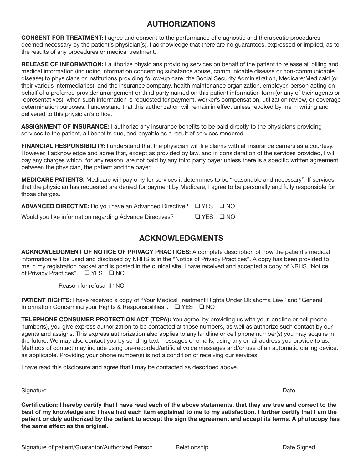# **AUTHORIZATIONS**

**CONSENT FOR TREATMENT:** I agree and consent to the performance of diagnostic and therapeutic procedures deemed necessary by the patient's physician(s). I acknowledge that there are no guarantees, expressed or implied, as to the results of any procedures or medical treatment.

**RELEASE OF INFORMATION:** I authorize physicians providing services on behalf of the patient to release all billing and medical information (including information concerning substance abuse, communicable disease or non-communicable disease) to physicians or institutions providing follow-up care, the Social Security Administration, Medicare/Medicaid (or their various intermediaries), and the insurance company, health maintenance organization, employer, person acting on behalf of a preferred provider arrangement or third party named on this patient information form (or any of their agents or representatives), when such information is requested for payment, worker's compensation, utilization review, or coverage determination purposes. I understand that this authorization will remain in effect unless revoked by me in writing and delivered to this physician's office.

**ASSIGNMENT OF INSURANCE:** I authorize any insurance benefits to be paid directly to the physicians providing services to the patient, all benefits due, and payable as a result of services rendered.

**FINANCIAL RESPONSIBILITY:** I understand that the physician will file claims with all insurance carriers as a courtesy. However, I acknowledge and agree that, except as provided by law, and in consideration of the services provided, I will pay any charges which, for any reason, are not paid by any third party payer unless there is a specific written agreement between the physician, the patient and the payer.

**MEDICARE PATIENTS:** Medicare will pay only for services it determines to be "reasonable and necessary". If services that the physician has requested are denied for payment by Medicare, I agree to be personally and fully responsible for those charges.

| <b>ADVANCED DIRECTIVE:</b> Do you have an Advanced Directive? $\Box$ YES $\Box$ NO |                      |  |
|------------------------------------------------------------------------------------|----------------------|--|
| Would you like information regarding Advance Directives?                           | $\Box$ YES $\Box$ NO |  |

# **ACKNOWLEDGMENTS**

**ACKNOWLEDGMENT OF NOTICE OF PRIVACY PRACTICES:** A complete description of how the patient's medical information will be used and disclosed by NRHS is in the "Notice of Privacy Practices". A copy has been provided to me in my registration packet and is posted in the clinical site. I have received and accepted a copy of NRHS "Notice of Privacy Practices". Q YES Q NO

Reason for refusal if "NO"

**PATIENT RIGHTS:** I have received a copy of "Your Medical Treatment Rights Under Oklahoma Law" and "General Information Concerning your Rights & Responsibilities".  $\Box$  YES  $\Box$  NO

**TELEPHONE CONSUMER PROTECTION ACT (TCPA):** You agree, by providing us with your landline or cell phone number(s), you give express authorization to be contacted at those numbers, as well as authorize such contact by our agents and assigns. This express authorization also applies to any landline or cell phone number(s) you may acquire in the future. We may also contact you by sending text messages or emails, using any email address you provide to us. Methods of contact may include using pre-recorded/artificial voice messages and/or use of an automatic dialing device, as applicable. Providing your phone number(s) is not a condition of receiving our services.

I have read this disclosure and agree that I may be contacted as described above.

#### Signature **Date of the Contract of Contract Contract of Contract Contract Contract Only and Contract Only and Contract Only and Only and Only and Only and Only and Only and Only and Only and Only and Only and Only and Only**

**Certification: I hereby certify that I have read each of the above statements, that they are true and correct to the best of my knowledge and I have had each item explained to me to my satisfaction. I further certify that I am the patient or duly authorized by the patient to accept the sign the agreement and accept its terms. A photocopy has the same effect as the original.**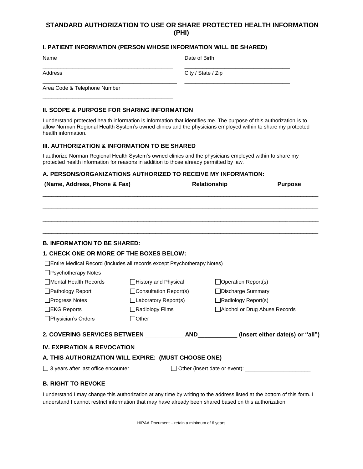### **STANDARD AUTHORIZATION TO USE OR SHARE PROTECTED HEALTH INFORMATION (PHI)**

#### **I. PATIENT INFORMATION (PERSON WHOSE INFORMATION WILL BE SHARED)**

\_\_\_\_\_\_\_\_\_\_\_\_\_\_\_\_\_\_\_\_\_\_\_\_\_\_\_\_\_\_\_\_\_\_\_\_\_\_\_\_\_\_\_\_ \_\_\_\_\_\_\_\_\_\_\_\_\_\_\_\_\_\_\_\_\_\_\_\_\_\_\_\_\_

\_\_\_\_\_\_\_\_\_\_\_\_\_\_\_\_\_\_\_\_\_\_\_\_\_\_\_\_\_\_\_\_\_\_\_\_\_ \_\_\_\_\_\_\_\_\_\_\_\_\_\_\_\_\_\_\_\_\_\_\_\_\_\_\_\_\_

Name Date of Birth

Address City / State / Zip

Area Code & Telephone Number

#### **II. SCOPE & PURPOSE FOR SHARING INFORMATION**

\_\_\_\_\_\_\_\_\_\_\_\_\_\_\_\_\_\_\_\_\_\_\_\_\_\_\_\_\_\_\_\_\_\_\_\_\_\_\_\_\_\_\_\_

I understand protected health information is information that identifies me. The purpose of this authorization is to allow Norman Regional Health System's owned clinics and the physicians employed within to share my protected health information.

#### **III. AUTHORIZATION & INFORMATION TO BE SHARED**

I authorize Norman Regional Health System's owned clinics and the physicians employed within to share my protected health information for reasons in addition to those already permitted by law.

#### **A. PERSONS/ORGANIZATIONS AUTHORIZED TO RECEIVE MY INFORMATION:**

| (Name, Address, Phone & Fax)                                              |                               | <b>Relationship</b> | <b>Purpose</b>                                                                                  |
|---------------------------------------------------------------------------|-------------------------------|---------------------|-------------------------------------------------------------------------------------------------|
|                                                                           |                               |                     |                                                                                                 |
|                                                                           |                               |                     |                                                                                                 |
|                                                                           |                               |                     |                                                                                                 |
| <b>B. INFORMATION TO BE SHARED:</b>                                       |                               |                     |                                                                                                 |
| <b>1. CHECK ONE OR MORE OF THE BOXES BELOW:</b>                           |                               |                     |                                                                                                 |
| □ Entire Medical Record (includes all records except Psychotherapy Notes) |                               |                     |                                                                                                 |
| □ Psychotherapy Notes                                                     |                               |                     |                                                                                                 |
| □ Mental Health Records                                                   | □History and Physical         |                     | $\Box$ Operation Report(s)                                                                      |
| □ Pathology Report                                                        | $\Box$ Consultation Report(s) |                     | □Discharge Summary                                                                              |
| □Progress Notes                                                           | □Laboratory Report(s)         |                     | $\Box$ Radiology Report(s)                                                                      |
| $\Box$ EKG Reports                                                        | □Radiology Films              |                     | □ Alcohol or Drug Abuse Records                                                                 |
| $\Box$ Physician's Orders                                                 | $\Box$ Other                  |                     |                                                                                                 |
|                                                                           |                               |                     | 2. COVERING SERVICES BETWEEN __________________AND_____________(Insert either date(s) or "all") |
| <b>IV. EXPIRATION &amp; REVOCATION</b>                                    |                               |                     |                                                                                                 |
| A. THIS AUTHORIZATION WILL EXPIRE: (MUST CHOOSE ONE)                      |                               |                     |                                                                                                 |

 $\Box$  3 years after last office encounter  $\Box$  Other (insert date or event):  $\Box$ 

#### **B. RIGHT TO REVOKE**

I understand I may change this authorization at any time by writing to the address listed at the bottom of this form. I understand I cannot restrict information that may have already been shared based on this authorization.